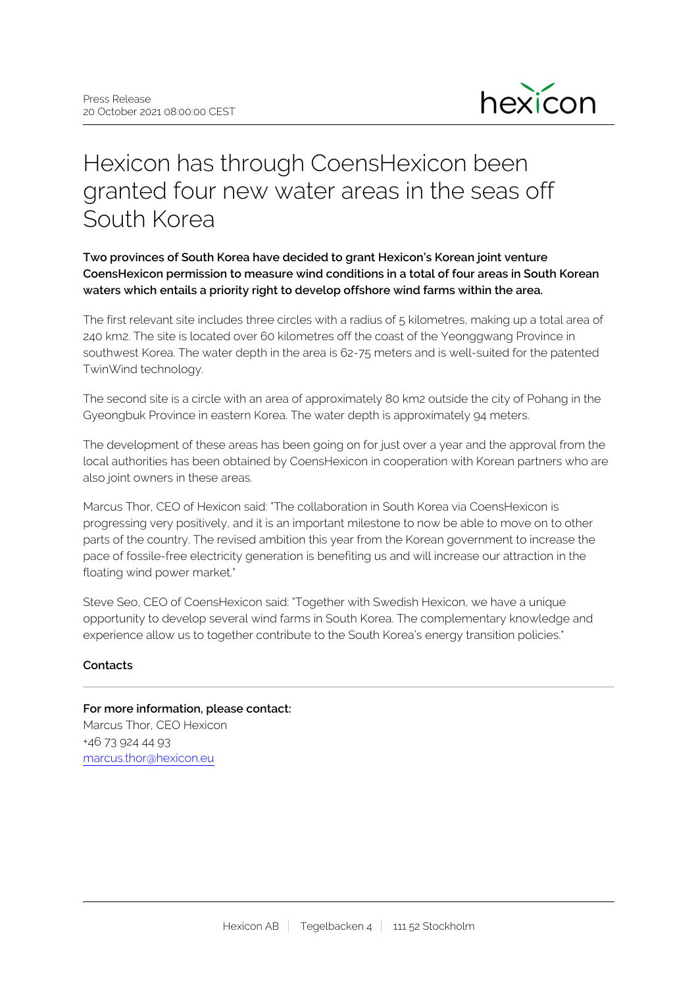

# Hexicon has through CoensHexicon been granted four new water areas in the seas off South Korea

## **Two provinces of South Korea have decided to grant Hexicon's Korean joint venture CoensHexicon permission to measure wind conditions in a total of four areas in South Korean waters which entails a priority right to develop offshore wind farms within the area.**

The first relevant site includes three circles with a radius of 5 kilometres, making up a total area of 240 km2. The site is located over 60 kilometres off the coast of the Yeonggwang Province in southwest Korea. The water depth in the area is 62-75 meters and is well-suited for the patented TwinWind technology.

The second site is a circle with an area of approximately 80 km2 outside the city of Pohang in the Gyeongbuk Province in eastern Korea. The water depth is approximately 94 meters.

The development of these areas has been going on for just over a year and the approval from the local authorities has been obtained by CoensHexicon in cooperation with Korean partners who are also joint owners in these areas.

Marcus Thor, CEO of Hexicon said: "The collaboration in South Korea via CoensHexicon is progressing very positively, and it is an important milestone to now be able to move on to other parts of the country. The revised ambition this year from the Korean government to increase the pace of fossile-free electricity generation is benefiting us and will increase our attraction in the floating wind power market."

Steve Seo, CEO of CoensHexicon said: "Together with Swedish Hexicon, we have a unique opportunity to develop several wind farms in South Korea. The complementary knowledge and experience allow us to together contribute to the South Korea's energy transition policies."

### **Contacts**

## **For more information, please contact:** Marcus Thor, CEO Hexicon +46 73 924 44 93 marcus.thor@hexicon.eu